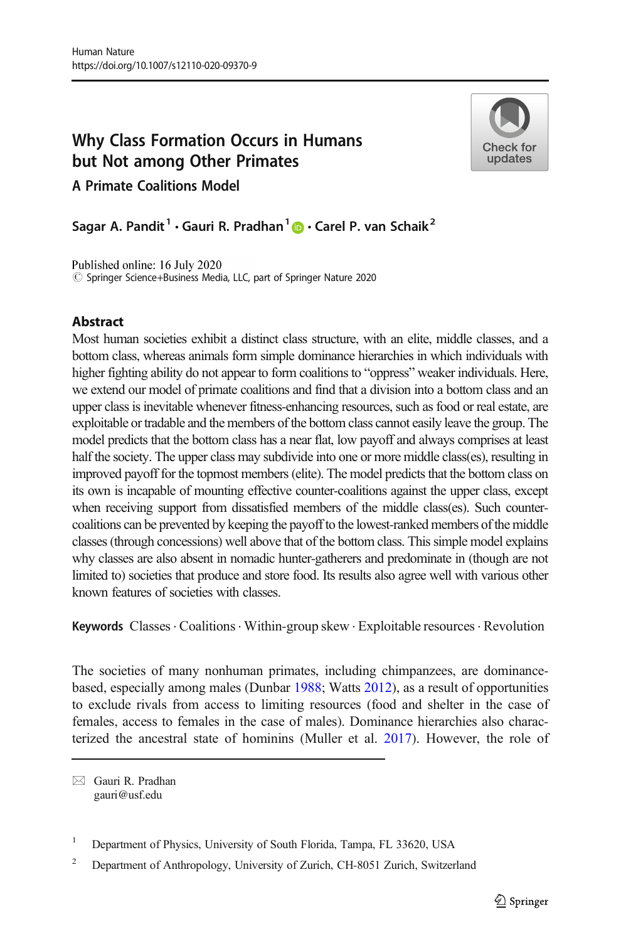# Why Class Formation Occurs in Humans but Not among Other Primates



A Primate Coalitions Model

Sagar A. Pandit<sup>1</sup> • Gauri R. Pradhan<sup>1</sup>  $\bullet$  • Carel P. van Schaik<sup>2</sup>

Published online: 16 July 2020  $\circled{c}$  Springer Science+Business Media, LLC, part of Springer Nature 2020

# **Abstract**

Most human societies exhibit a distinct class structure, with an elite, middle classes, and a bottom class, whereas animals form simple dominance hierarchies in which individuals with higher fighting ability do not appear to form coalitions to "oppress" weaker individuals. Here, we extend our model of primate coalitions and find that a division into a bottom class and an upper class is inevitable whenever fitness-enhancing resources, such as food or real estate, are exploitable or tradable and the members of the bottom class cannot easily leave the group. The model predicts that the bottom class has a near flat, low payoff and always comprises at least half the society. The upper class may subdivide into one or more middle class(es), resulting in improved payoff for the topmost members (elite). The model predicts that the bottom class on its own is incapable of mounting effective counter-coalitions against the upper class, except when receiving support from dissatisfied members of the middle class(es). Such countercoalitions can be prevented by keeping the payoff to the lowest-ranked members of the middle classes (through concessions) well above that of the bottom class. This simple model explains why classes are also absent in nomadic hunter-gatherers and predominate in (though are not limited to) societies that produce and store food. Its results also agree well with various other known features of societies with classes.

**Keywords** Classes  $\cdot$  Coalitions  $\cdot$  Within-group skew  $\cdot$  Exploitable resources  $\cdot$  Revolution

The societies of many nonhuman primates, including chimpanzees, are dominancebased, especially among males (Dunbar [1988;](#page-17-0) Watts [2012](#page-18-0)), as a result of opportunities to exclude rivals from access to limiting resources (food and shelter in the case of females, access to females in the case of males). Dominance hierarchies also characterized the ancestral state of hominins (Muller et al. [2017\)](#page-17-0). However, the role of

 $\boxtimes$  Gauri R. Pradhan [gauri@usf.edu](mailto:gauri@usf.edu)

<sup>&</sup>lt;sup>1</sup> Department of Physics, University of South Florida, Tampa, FL 33620, USA

<sup>&</sup>lt;sup>2</sup> Department of Anthropology, University of Zurich, CH-8051 Zurich, Switzerland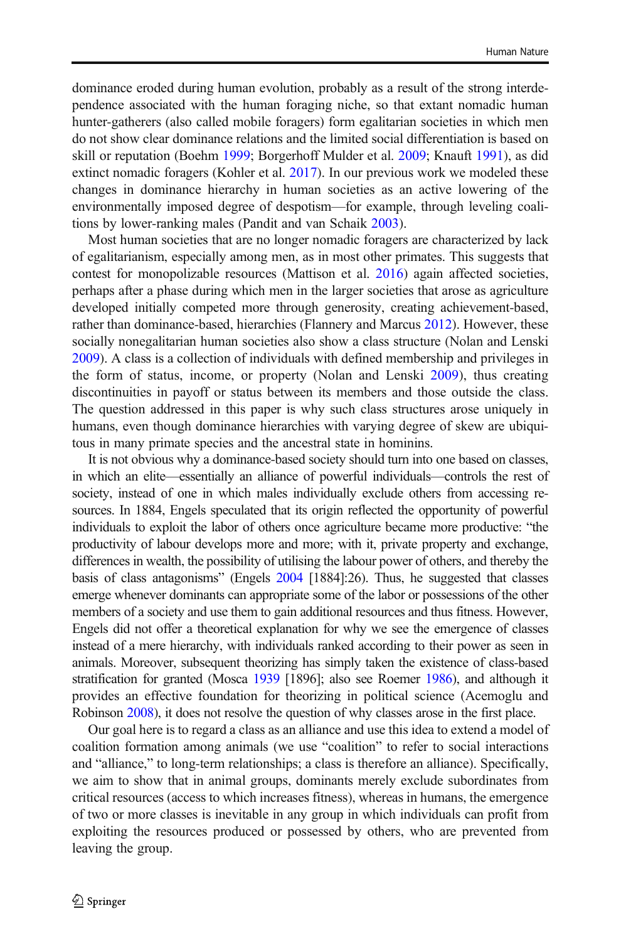dominance eroded during human evolution, probably as a result of the strong interdependence associated with the human foraging niche, so that extant nomadic human hunter-gatherers (also called mobile foragers) form egalitarian societies in which men do not show clear dominance relations and the limited social differentiation is based on skill or reputation (Boehm [1999](#page-17-0); Borgerhoff Mulder et al. [2009;](#page-17-0) Knauft [1991](#page-17-0)), as did extinct nomadic foragers (Kohler et al. [2017](#page-17-0)). In our previous work we modeled these changes in dominance hierarchy in human societies as an active lowering of the environmentally imposed degree of despotism—for example, through leveling coalitions by lower-ranking males (Pandit and van Schaik [2003](#page-18-0)).

Most human societies that are no longer nomadic foragers are characterized by lack of egalitarianism, especially among men, as in most other primates. This suggests that contest for monopolizable resources (Mattison et al. [2016\)](#page-17-0) again affected societies, perhaps after a phase during which men in the larger societies that arose as agriculture developed initially competed more through generosity, creating achievement-based, rather than dominance-based, hierarchies (Flannery and Marcus [2012\)](#page-17-0). However, these socially nonegalitarian human societies also show a class structure (Nolan and Lenski [2009\)](#page-17-0). A class is a collection of individuals with defined membership and privileges in the form of status, income, or property (Nolan and Lenski [2009\)](#page-17-0), thus creating discontinuities in payoff or status between its members and those outside the class. The question addressed in this paper is why such class structures arose uniquely in humans, even though dominance hierarchies with varying degree of skew are ubiquitous in many primate species and the ancestral state in hominins.

It is not obvious why a dominance-based society should turn into one based on classes, in which an elite—essentially an alliance of powerful individuals—controls the rest of society, instead of one in which males individually exclude others from accessing resources. In 1884, Engels speculated that its origin reflected the opportunity of powerful individuals to exploit the labor of others once agriculture became more productive: "the productivity of labour develops more and more; with it, private property and exchange, differences in wealth, the possibility of utilising the labour power of others, and thereby the basis of class antagonisms" (Engels [2004](#page-17-0) [1884]:26). Thus, he suggested that classes emerge whenever dominants can appropriate some of the labor or possessions of the other members of a society and use them to gain additional resources and thus fitness. However, Engels did not offer a theoretical explanation for why we see the emergence of classes instead of a mere hierarchy, with individuals ranked according to their power as seen in animals. Moreover, subsequent theorizing has simply taken the existence of class-based stratification for granted (Mosca [1939](#page-17-0) [1896]; also see Roemer [1986](#page-18-0)), and although it provides an effective foundation for theorizing in political science (Acemoglu and Robinson [2008\)](#page-16-0), it does not resolve the question of why classes arose in the first place.

Our goal here is to regard a class as an alliance and use this idea to extend a model of coalition formation among animals (we use "coalition" to refer to social interactions and "alliance," to long-term relationships; a class is therefore an alliance). Specifically, we aim to show that in animal groups, dominants merely exclude subordinates from critical resources (access to which increases fitness), whereas in humans, the emergence of two or more classes is inevitable in any group in which individuals can profit from exploiting the resources produced or possessed by others, who are prevented from leaving the group.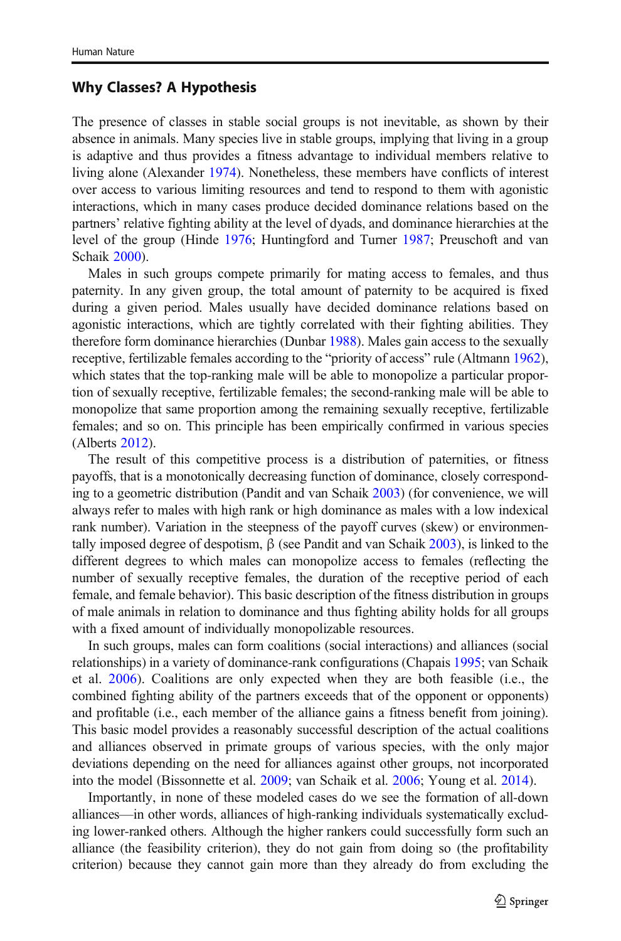## Why Classes? A Hypothesis

The presence of classes in stable social groups is not inevitable, as shown by their absence in animals. Many species live in stable groups, implying that living in a group is adaptive and thus provides a fitness advantage to individual members relative to living alone (Alexander [1974](#page-16-0)). Nonetheless, these members have conflicts of interest over access to various limiting resources and tend to respond to them with agonistic interactions, which in many cases produce decided dominance relations based on the partners' relative fighting ability at the level of dyads, and dominance hierarchies at the level of the group (Hinde [1976](#page-17-0); Huntingford and Turner [1987](#page-17-0); Preuschoft and van Schaik [2000\)](#page-18-0).

Males in such groups compete primarily for mating access to females, and thus paternity. In any given group, the total amount of paternity to be acquired is fixed during a given period. Males usually have decided dominance relations based on agonistic interactions, which are tightly correlated with their fighting abilities. They therefore form dominance hierarchies (Dunbar [1988](#page-17-0)). Males gain access to the sexually receptive, fertilizable females according to the "priority of access" rule (Altmann [1962\)](#page-17-0), which states that the top-ranking male will be able to monopolize a particular proportion of sexually receptive, fertilizable females; the second-ranking male will be able to monopolize that same proportion among the remaining sexually receptive, fertilizable females; and so on. This principle has been empirically confirmed in various species (Alberts [2012\)](#page-16-0).

The result of this competitive process is a distribution of paternities, or fitness payoffs, that is a monotonically decreasing function of dominance, closely corresponding to a geometric distribution (Pandit and van Schaik [2003](#page-18-0)) (for convenience, we will always refer to males with high rank or high dominance as males with a low indexical rank number). Variation in the steepness of the payoff curves (skew) or environmentally imposed degree of despotism,  $\beta$  (see Pandit and van Schaik [2003](#page-18-0)), is linked to the different degrees to which males can monopolize access to females (reflecting the number of sexually receptive females, the duration of the receptive period of each female, and female behavior). This basic description of the fitness distribution in groups of male animals in relation to dominance and thus fighting ability holds for all groups with a fixed amount of individually monopolizable resources.

In such groups, males can form coalitions (social interactions) and alliances (social relationships) in a variety of dominance-rank configurations (Chapais [1995;](#page-17-0) van Schaik et al. [2006\)](#page-18-0). Coalitions are only expected when they are both feasible (i.e., the combined fighting ability of the partners exceeds that of the opponent or opponents) and profitable (i.e., each member of the alliance gains a fitness benefit from joining). This basic model provides a reasonably successful description of the actual coalitions and alliances observed in primate groups of various species, with the only major deviations depending on the need for alliances against other groups, not incorporated into the model (Bissonnette et al. [2009;](#page-17-0) van Schaik et al. [2006](#page-18-0); Young et al. [2014](#page-18-0)).

Importantly, in none of these modeled cases do we see the formation of all-down alliances—in other words, alliances of high-ranking individuals systematically excluding lower-ranked others. Although the higher rankers could successfully form such an alliance (the feasibility criterion), they do not gain from doing so (the profitability criterion) because they cannot gain more than they already do from excluding the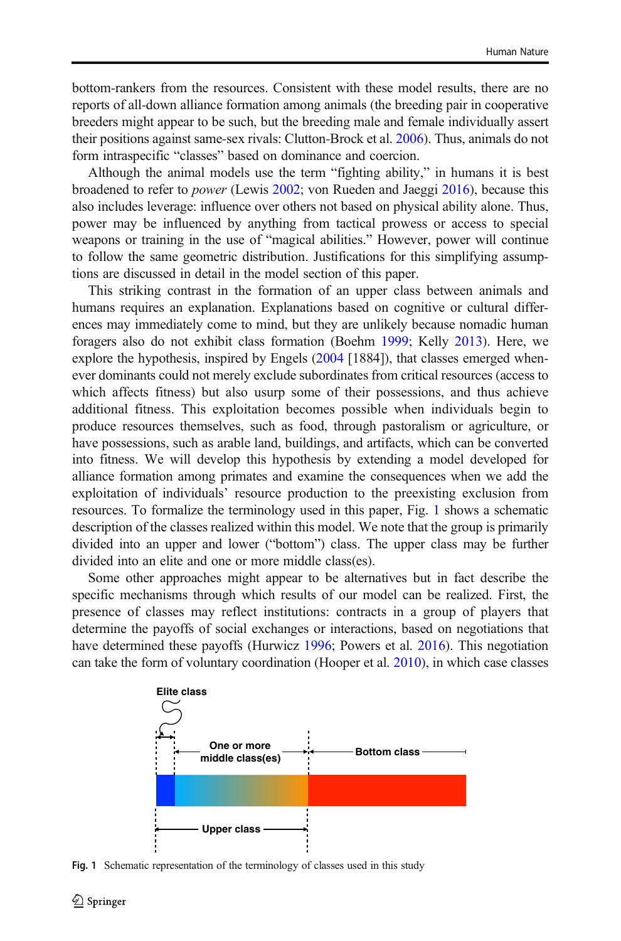bottom-rankers from the resources. Consistent with these model results, there are no reports of all-down alliance formation among animals (the breeding pair in cooperative breeders might appear to be such, but the breeding male and female individually assert their positions against same-sex rivals: Clutton-Brock et al. [2006\)](#page-17-0). Thus, animals do not form intraspecific "classes" based on dominance and coercion.

Although the animal models use the term "fighting ability," in humans it is best broadened to refer to power (Lewis [2002](#page-17-0); von Rueden and Jaeggi [2016](#page-18-0)), because this also includes leverage: influence over others not based on physical ability alone. Thus, power may be influenced by anything from tactical prowess or access to special weapons or training in the use of "magical abilities." However, power will continue to follow the same geometric distribution. Justifications for this simplifying assumptions are discussed in detail in the model section of this paper.

This striking contrast in the formation of an upper class between animals and humans requires an explanation. Explanations based on cognitive or cultural differences may immediately come to mind, but they are unlikely because nomadic human foragers also do not exhibit class formation (Boehm [1999](#page-17-0); Kelly [2013\)](#page-17-0). Here, we explore the hypothesis, inspired by Engels ([2004](#page-17-0) [1884]), that classes emerged whenever dominants could not merely exclude subordinates from critical resources (access to which affects fitness) but also usurp some of their possessions, and thus achieve additional fitness. This exploitation becomes possible when individuals begin to produce resources themselves, such as food, through pastoralism or agriculture, or have possessions, such as arable land, buildings, and artifacts, which can be converted into fitness. We will develop this hypothesis by extending a model developed for alliance formation among primates and examine the consequences when we add the exploitation of individuals' resource production to the preexisting exclusion from resources. To formalize the terminology used in this paper, Fig. 1 shows a schematic description of the classes realized within this model. We note that the group is primarily divided into an upper and lower ("bottom") class. The upper class may be further divided into an elite and one or more middle class(es).

Some other approaches might appear to be alternatives but in fact describe the specific mechanisms through which results of our model can be realized. First, the presence of classes may reflect institutions: contracts in a group of players that determine the payoffs of social exchanges or interactions, based on negotiations that have determined these payoffs (Hurwicz [1996;](#page-17-0) Powers et al. [2016](#page-18-0)). This negotiation can take the form of voluntary coordination (Hooper et al. [2010](#page-17-0)), in which case classes



Fig. 1 Schematic representation of the terminology of classes used in this study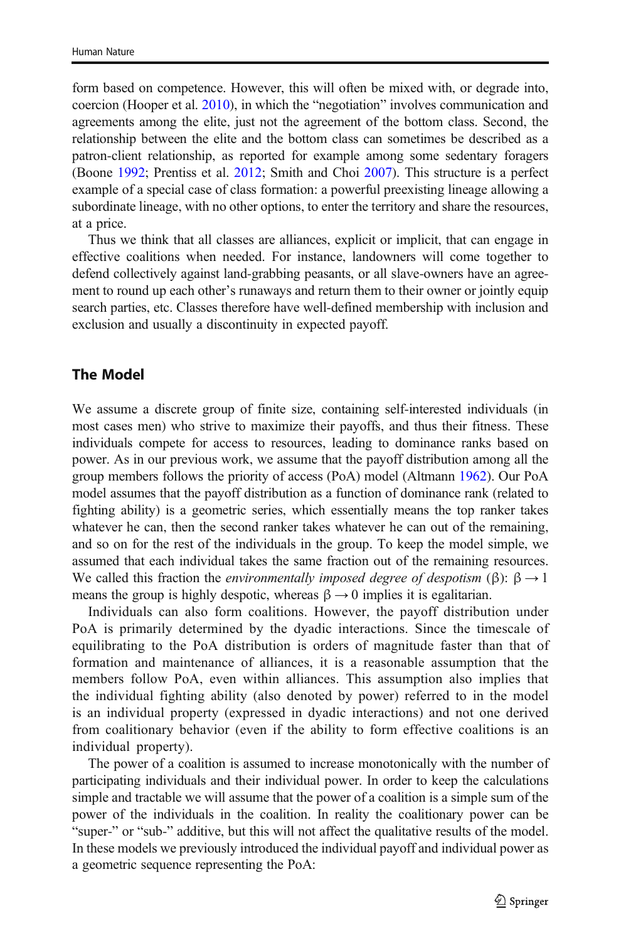<span id="page-4-0"></span>form based on competence. However, this will often be mixed with, or degrade into, coercion (Hooper et al. [2010\)](#page-17-0), in which the "negotiation" involves communication and agreements among the elite, just not the agreement of the bottom class. Second, the relationship between the elite and the bottom class can sometimes be described as a patron-client relationship, as reported for example among some sedentary foragers (Boone [1992;](#page-17-0) Prentiss et al. [2012](#page-18-0); Smith and Choi [2007](#page-18-0)). This structure is a perfect example of a special case of class formation: a powerful preexisting lineage allowing a subordinate lineage, with no other options, to enter the territory and share the resources, at a price.

Thus we think that all classes are alliances, explicit or implicit, that can engage in effective coalitions when needed. For instance, landowners will come together to defend collectively against land-grabbing peasants, or all slave-owners have an agreement to round up each other's runaways and return them to their owner or jointly equip search parties, etc. Classes therefore have well-defined membership with inclusion and exclusion and usually a discontinuity in expected payoff.

## The Model

We assume a discrete group of finite size, containing self-interested individuals (in most cases men) who strive to maximize their payoffs, and thus their fitness. These individuals compete for access to resources, leading to dominance ranks based on power. As in our previous work, we assume that the payoff distribution among all the group members follows the priority of access (PoA) model (Altmann [1962\)](#page-17-0). Our PoA model assumes that the payoff distribution as a function of dominance rank (related to fighting ability) is a geometric series, which essentially means the top ranker takes whatever he can, then the second ranker takes whatever he can out of the remaining, and so on for the rest of the individuals in the group. To keep the model simple, we assumed that each individual takes the same fraction out of the remaining resources. We called this fraction the *environmentally imposed degree of despotism* (β):  $\beta \rightarrow 1$ means the group is highly despotic, whereas  $\beta \rightarrow 0$  implies it is egalitarian.

Individuals can also form coalitions. However, the payoff distribution under PoA is primarily determined by the dyadic interactions. Since the timescale of equilibrating to the PoA distribution is orders of magnitude faster than that of formation and maintenance of alliances, it is a reasonable assumption that the members follow PoA, even within alliances. This assumption also implies that the individual fighting ability (also denoted by power) referred to in the model is an individual property (expressed in dyadic interactions) and not one derived from coalitionary behavior (even if the ability to form effective coalitions is an individual property).

The power of a coalition is assumed to increase monotonically with the number of participating individuals and their individual power. In order to keep the calculations simple and tractable we will assume that the power of a coalition is a simple sum of the power of the individuals in the coalition. In reality the coalitionary power can be "super-" or "sub-" additive, but this will not affect the qualitative results of the model. In these models we previously introduced the individual payoff and individual power as a geometric sequence representing the PoA: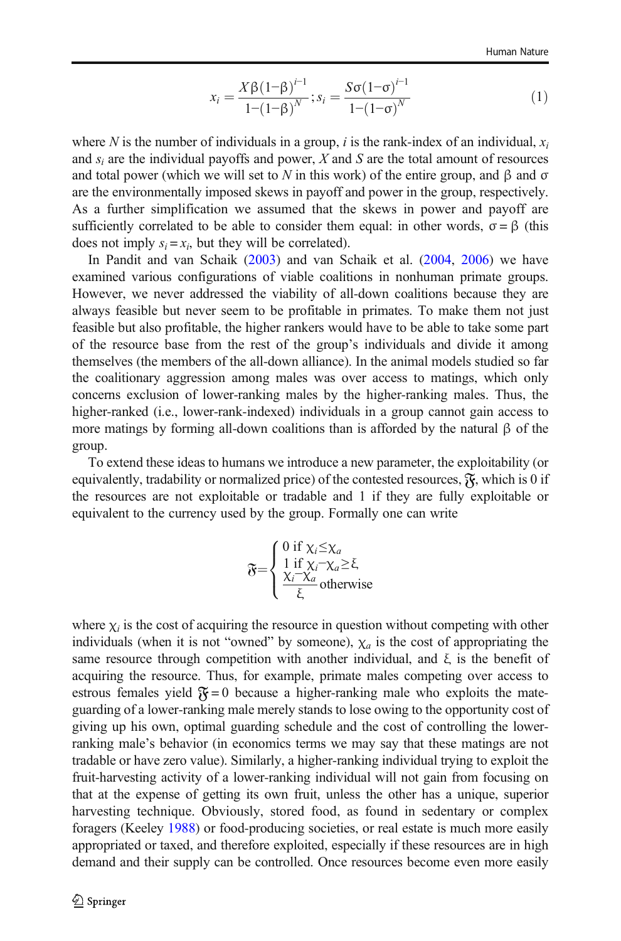$$
x_i = \frac{X\beta(1-\beta)^{i-1}}{1-(1-\beta)^N}; s_i = \frac{S\sigma(1-\sigma)^{i-1}}{1-(1-\sigma)^N}
$$
(1)

where N is the number of individuals in a group, i is the rank-index of an individual,  $x_i$ and  $s_i$  are the individual payoffs and power, X and S are the total amount of resources and total power (which we will set to N in this work) of the entire group, and  $\beta$  and  $\sigma$ are the environmentally imposed skews in payoff and power in the group, respectively. As a further simplification we assumed that the skews in power and payoff are sufficiently correlated to be able to consider them equal: in other words,  $\sigma = \beta$  (this does not imply  $s_i = x_i$ , but they will be correlated).

In Pandit and van Schaik ([2003](#page-18-0)) and van Schaik et al. ([2004,](#page-18-0) [2006](#page-18-0)) we have examined various configurations of viable coalitions in nonhuman primate groups. However, we never addressed the viability of all-down coalitions because they are always feasible but never seem to be profitable in primates. To make them not just feasible but also profitable, the higher rankers would have to be able to take some part of the resource base from the rest of the group's individuals and divide it among themselves (the members of the all-down alliance). In the animal models studied so far the coalitionary aggression among males was over access to matings, which only concerns exclusion of lower-ranking males by the higher-ranking males. Thus, the higher-ranked (i.e., lower-rank-indexed) individuals in a group cannot gain access to more matings by forming all-down coalitions than is afforded by the natural β of the group.

To extend these ideas to humans we introduce a new parameter, the exploitability (or equivalently, tradability or normalized price) of the contested resources,  $\mathfrak{F}_k$ , which is 0 if the resources are not exploitable or tradable and 1 if they are fully exploitable or equivalent to the currency used by the group. Formally one can write

$$
\widetilde{\sigma} = \begin{cases} 0 \text{ if } \chi_i \leq \chi_a \\ 1 \text{ if } \chi_i - \chi_a \geq \xi, \\ \frac{\chi_i - \chi_a}{\xi} \text{ otherwise} \end{cases}
$$

where  $\chi_i$  is the cost of acquiring the resource in question without competing with other individuals (when it is not "owned" by someone),  $\chi_a$  is the cost of appropriating the same resource through competition with another individual, and  $\xi$  is the benefit of acquiring the resource. Thus, for example, primate males competing over access to estrous females yield  $\mathfrak{F} = 0$  because a higher-ranking male who exploits the mateguarding of a lower-ranking male merely stands to lose owing to the opportunity cost of giving up his own, optimal guarding schedule and the cost of controlling the lowerranking male's behavior (in economics terms we may say that these matings are not tradable or have zero value). Similarly, a higher-ranking individual trying to exploit the fruit-harvesting activity of a lower-ranking individual will not gain from focusing on that at the expense of getting its own fruit, unless the other has a unique, superior harvesting technique. Obviously, stored food, as found in sedentary or complex foragers (Keeley [1988](#page-17-0)) or food-producing societies, or real estate is much more easily appropriated or taxed, and therefore exploited, especially if these resources are in high demand and their supply can be controlled. Once resources become even more easily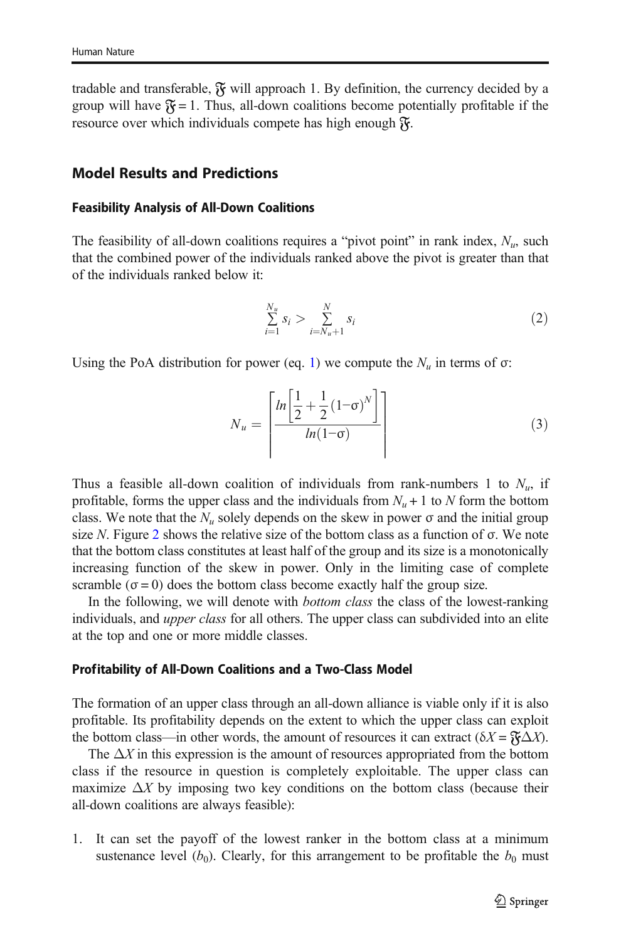<span id="page-6-0"></span>tradable and transferable,  $\mathfrak{F}$  will approach 1. By definition, the currency decided by a group will have  $\mathfrak{F} = 1$ . Thus, all-down coalitions become potentially profitable if the resource over which individuals compete has high enough  $\mathfrak{F}$ .

## Model Results and Predictions

#### Feasibility Analysis of All-Down Coalitions

The feasibility of all-down coalitions requires a "pivot point" in rank index,  $N_u$ , such that the combined power of the individuals ranked above the pivot is greater than that of the individuals ranked below it:

$$
\sum_{i=1}^{N_u} s_i > \sum_{i=N_u+1}^{N} s_i
$$
 (2)

Using the PoA distribution for power (eq. [1\)](#page-4-0) we compute the  $N_u$  in terms of  $\sigma$ :

$$
N_u = \left[ \frac{\ln \left[ \frac{1}{2} + \frac{1}{2} (1 - \sigma)^N \right]}{\ln (1 - \sigma)} \right] \tag{3}
$$

Thus a feasible all-down coalition of individuals from rank-numbers 1 to  $N_u$ , if profitable, forms the upper class and the individuals from  $N_u + 1$  to N form the bottom class. We note that the  $N_u$  solely depends on the skew in power  $\sigma$  and the initial group size N. Figure [2](#page-7-0) shows the relative size of the bottom class as a function of  $\sigma$ . We note that the bottom class constitutes at least half of the group and its size is a monotonically increasing function of the skew in power. Only in the limiting case of complete scramble ( $\sigma$  = 0) does the bottom class become exactly half the group size.

In the following, we will denote with *bottom class* the class of the lowest-ranking individuals, and *upper class* for all others. The upper class can subdivided into an elite at the top and one or more middle classes.

#### Profitability of All-Down Coalitions and a Two-Class Model

The formation of an upper class through an all-down alliance is viable only if it is also profitable. Its profitability depends on the extent to which the upper class can exploit the bottom class—in other words, the amount of resources it can extract ( $\delta X = \mathfrak{F} \Delta X$ ).

The  $\Delta X$  in this expression is the amount of resources appropriated from the bottom class if the resource in question is completely exploitable. The upper class can maximize  $\Delta X$  by imposing two key conditions on the bottom class (because their all-down coalitions are always feasible):

1. It can set the payoff of the lowest ranker in the bottom class at a minimum sustenance level  $(b_0)$ . Clearly, for this arrangement to be profitable the  $b_0$  must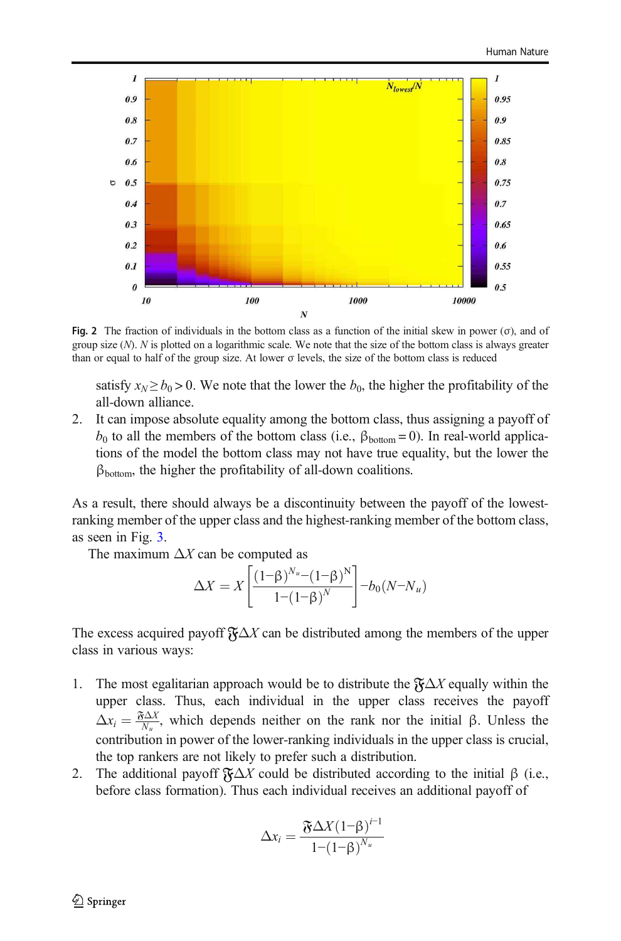<span id="page-7-0"></span>

Fig. 2 The fraction of individuals in the bottom class as a function of the initial skew in power ( $\sigma$ ), and of group size  $(N)$ . N is plotted on a logarithmic scale. We note that the size of the bottom class is always greater than or equal to half of the group size. At lower σ levels, the size of the bottom class is reduced

satisfy  $x_N \ge b_0 > 0$ . We note that the lower the  $b_0$ , the higher the profitability of the all-down alliance.

2. It can impose absolute equality among the bottom class, thus assigning a payoff of  $b_0$  to all the members of the bottom class (i.e., β<sub>bottom</sub> = 0). In real-world applications of the model the bottom class may not have true equality, but the lower the  $\beta_{\text{bottom}}$ , the higher the profitability of all-down coalitions.

As a result, there should always be a discontinuity between the payoff of the lowestranking member of the upper class and the highest-ranking member of the bottom class, as seen in Fig. [3.](#page-8-0)

The maximum  $\Delta X$  can be computed as

$$
\Delta X = X \left[ \frac{\left(1 - \beta\right)^{N_u} - \left(1 - \beta\right)^N}{1 - \left(1 - \beta\right)^N} \right] - b_0 (N - N_u)
$$

The excess acquired payoff  $\mathfrak{F}\Delta X$  can be distributed among the members of the upper class in various ways:

- 1. The most egalitarian approach would be to distribute the  $\mathfrak{F}\Delta X$  equally within the upper class. Thus, each individual in the upper class receives the payoff  $\Delta x_i = \frac{\mathfrak{F} \Delta X}{N_u}$ , which depends neither on the rank nor the initial β. Unless the contribution in power of the lower-ranking individuals in the upper class is crucial, the top rankers are not likely to prefer such a distribution.
- 2. The additional payoff  $\mathfrak{F}\Delta X$  could be distributed according to the initial  $\beta$  (i.e., before class formation). Thus each individual receives an additional payoff of

$$
\Delta x_i = \frac{\mathfrak{F} \Delta X (1-\beta)^{i-1}}{1-(1-\beta)^{N_u}}
$$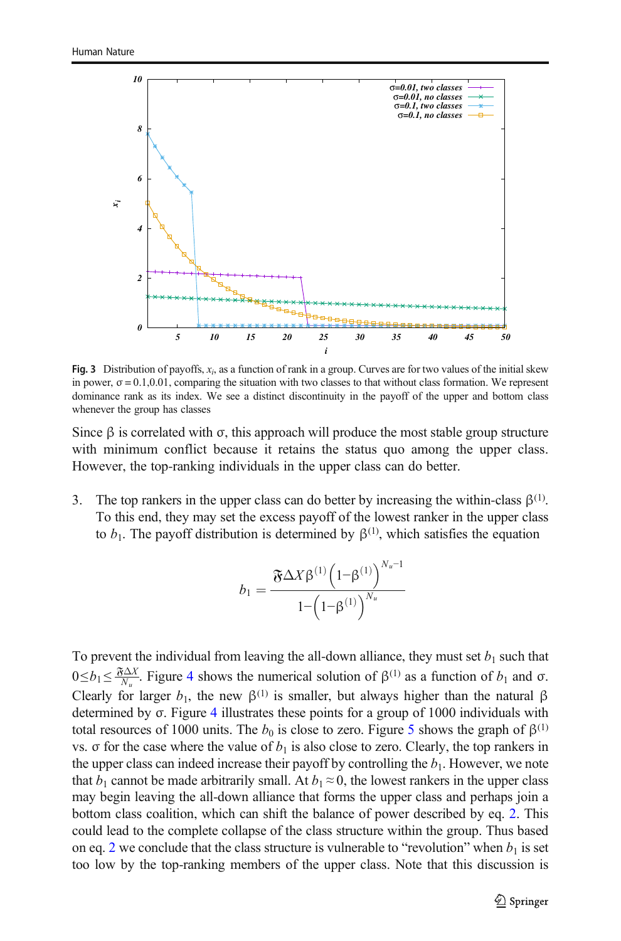<span id="page-8-0"></span>

**Fig. 3** Distribution of payoffs,  $x_i$ , as a function of rank in a group. Curves are for two values of the initial skew in power,  $\sigma = 0.1, 0.01$ , comparing the situation with two classes to that without class formation. We represent dominance rank as its index. We see a distinct discontinuity in the payoff of the upper and bottom class whenever the group has classes

Since β is correlated with  $\sigma$ , this approach will produce the most stable group structure with minimum conflict because it retains the status quo among the upper class. However, the top-ranking individuals in the upper class can do better.

3. The top rankers in the upper class can do better by increasing the within-class  $\beta^{(1)}$ . To this end, they may set the excess payoff of the lowest ranker in the upper class to  $b_1$ . The payoff distribution is determined by  $\beta^{(1)}$ , which satisfies the equation

$$
b_1 = \frac{\mathfrak{F} \Delta X \beta^{(1)} \left(1 - \beta^{(1)}\right)^{N_u - 1}}{1 - \left(1 - \beta^{(1)}\right)^{N_u}}
$$

To prevent the individual from leaving the all-down alliance, they must set  $b_1$  such that  $0 \le b_1 \le \frac{\mathfrak{F} \Delta X}{N_u}$ . Figure [4](#page-9-0) shows the numerical solution of  $\beta^{(1)}$  as a function of  $b_1$  and  $\sigma$ . Clearly for larger  $b_1$ , the new  $\beta^{(1)}$  is smaller, but always higher than the natural  $\beta$ determined by σ. Figure [4](#page-9-0) illustrates these points for a group of 1000 individuals with total resources of 1000 units. The  $b_0$  is close to zero. Figure [5](#page-10-0) shows the graph of  $\beta^{(1)}$ vs. σ for the case where the value of  $b_1$  is also close to zero. Clearly, the top rankers in the upper class can indeed increase their payoff by controlling the  $b<sub>1</sub>$ . However, we note that  $b_1$  cannot be made arbitrarily small. At  $b_1 \approx 0$ , the lowest rankers in the upper class may begin leaving the all-down alliance that forms the upper class and perhaps join a bottom class coalition, which can shift the balance of power described by eq. [2](#page-6-0). This could lead to the complete collapse of the class structure within the group. Thus based on eq. [2](#page-6-0) we conclude that the class structure is vulnerable to "revolution" when  $b_1$  is set too low by the top-ranking members of the upper class. Note that this discussion is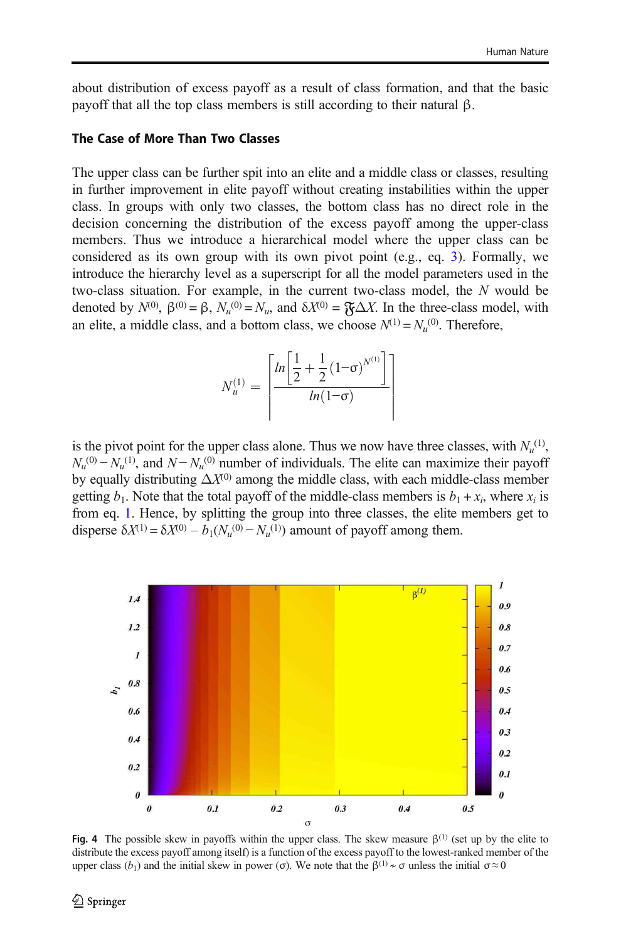<span id="page-9-0"></span>about distribution of excess payoff as a result of class formation, and that the basic payoff that all the top class members is still according to their natural β.

### The Case of More Than Two Classes

The upper class can be further spit into an elite and a middle class or classes, resulting in further improvement in elite payoff without creating instabilities within the upper class. In groups with only two classes, the bottom class has no direct role in the decision concerning the distribution of the excess payoff among the upper-class members. Thus we introduce a hierarchical model where the upper class can be considered as its own group with its own pivot point (e.g., eq. [3](#page-6-0)). Formally, we introduce the hierarchy level as a superscript for all the model parameters used in the two-class situation. For example, in the current two-class model, the N would be denoted by  $N^{(0)}$ ,  $\beta^{(0)} = \beta$ ,  $N_u^{(0)} = N_u$ , and  $\delta X^{(0)} = \mathfrak{F} \Delta X$ . In the three-class model, with an elite, a middle class, and a bottom class, we choose  $N^{(1)} = N_u^{(0)}$ . Therefore,

$$
N_u^{(1)} = \left[ \frac{\ln \left[ \frac{1}{2} + \frac{1}{2} (1 - \sigma)^{N^{(1)}} \right]}{\ln (1 - \sigma)} \right]
$$

is the pivot point for the upper class alone. Thus we now have three classes, with  $N_u^{(1)}$ ,  $N_u^{(0)} - N_u^{(1)}$ , and  $N - N_u^{(0)}$  number of individuals. The elite can maximize their payoff by equally distributing  $\Delta X^{(0)}$  among the middle class, with each middle-class member getting  $b_1$ . Note that the total payoff of the middle-class members is  $b_1 + x_i$ , where  $x_i$  is from eq. [1.](#page-4-0) Hence, by splitting the group into three classes, the elite members get to disperse  $\delta X^{(1)} = \delta X^{(0)} - b_1 (N_u^{(0)} - N_u^{(1)})$  amount of payoff among them.



Fig. 4 The possible skew in payoffs within the upper class. The skew measure  $\beta^{(1)}$  (set up by the elite to distribute the excess payoff among itself) is a function of the excess payoff to the lowest-ranked member of the upper class  $(b_1)$  and the initial skew in power (σ). We note that the  $\beta^{(1)} \star \sigma$  unless the initial  $\sigma \approx 0$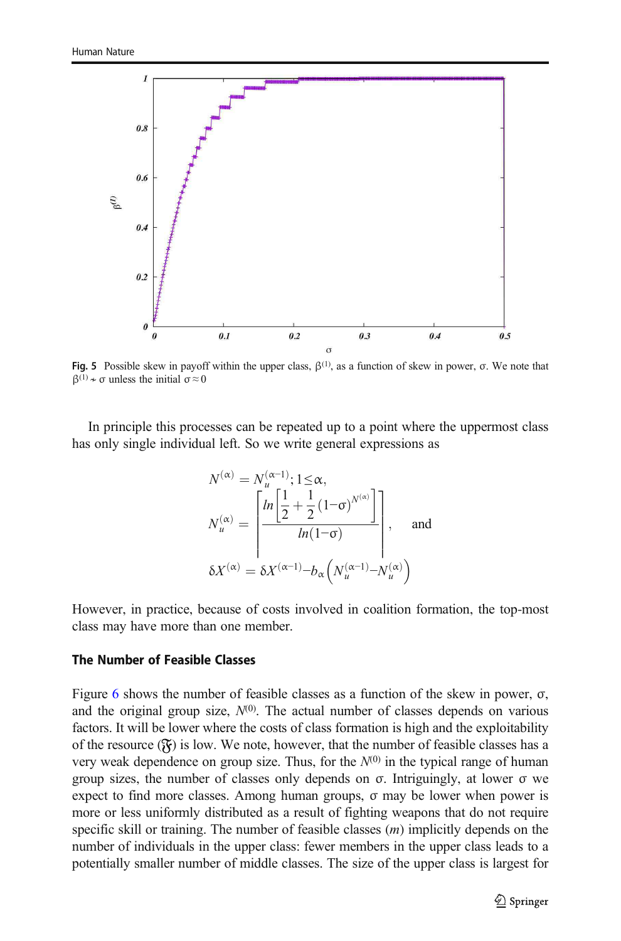<span id="page-10-0"></span>

Fig. 5 Possible skew in payoff within the upper class,  $\beta^{(1)}$ , as a function of skew in power, σ. We note that  $β^{(1)} \nightharpoonup σ$  unless the initial  $σ ≈ 0$ 

In principle this processes can be repeated up to a point where the uppermost class has only single individual left. So we write general expressions as

$$
N^{(\alpha)} = N_u^{(\alpha-1)}; 1 \le \alpha,
$$
  
\n
$$
N_u^{(\alpha)} = \left[ \frac{\ln \left[ \frac{1}{2} + \frac{1}{2} (1 - \sigma)^{N^{(\alpha)}} \right]}{\ln (1 - \sigma)} \right],
$$
 and  
\n
$$
\delta X^{(\alpha)} = \delta X^{(\alpha-1)} - b_{\alpha} \left( N_u^{(\alpha-1)} - N_u^{(\alpha)} \right)
$$

However, in practice, because of costs involved in coalition formation, the top-most class may have more than one member.

# The Number of Feasible Classes

Figure [6](#page-11-0) shows the number of feasible classes as a function of the skew in power,  $\sigma$ , and the original group size,  $N^{(0)}$ . The actual number of classes depends on various factors. It will be lower where the costs of class formation is high and the exploitability of the resource  $(\mathfrak{F})$  is low. We note, however, that the number of feasible classes has a very weak dependence on group size. Thus, for the  $N^{(0)}$  in the typical range of human group sizes, the number of classes only depends on σ. Intriguingly, at lower σ we expect to find more classes. Among human groups,  $\sigma$  may be lower when power is more or less uniformly distributed as a result of fighting weapons that do not require specific skill or training. The number of feasible classes  $(m)$  implicitly depends on the number of individuals in the upper class: fewer members in the upper class leads to a potentially smaller number of middle classes. The size of the upper class is largest for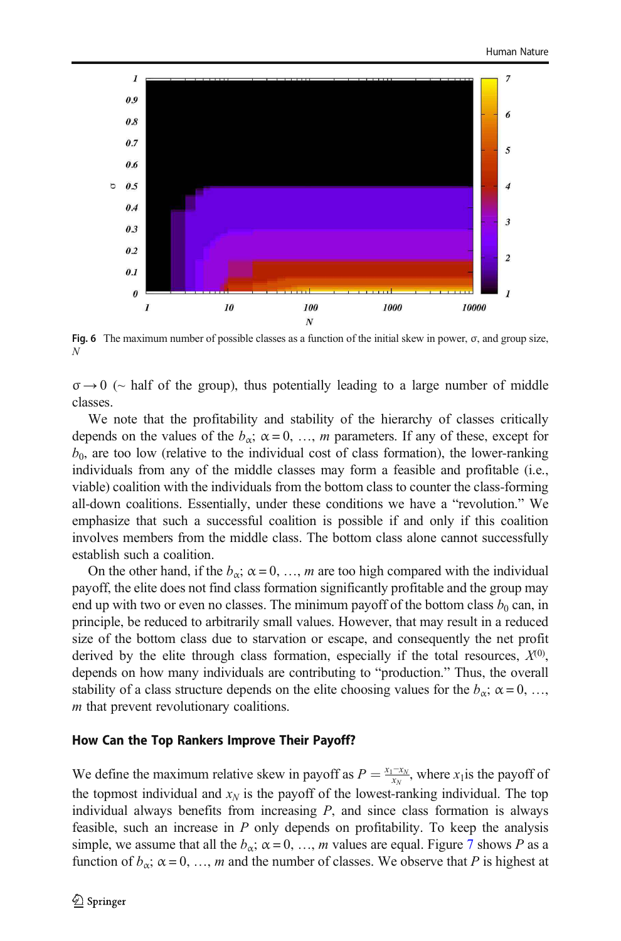<span id="page-11-0"></span>

Fig. 6 The maximum number of possible classes as a function of the initial skew in power, σ, and group size, N

 $\sigma \rightarrow 0$  ( $\sim$  half of the group), thus potentially leading to a large number of middle classes.

We note that the profitability and stability of the hierarchy of classes critically depends on the values of the  $b_{\alpha}$ ;  $\alpha = 0, ..., m$  parameters. If any of these, except for  $b_0$ , are too low (relative to the individual cost of class formation), the lower-ranking individuals from any of the middle classes may form a feasible and profitable (i.e., viable) coalition with the individuals from the bottom class to counter the class-forming all-down coalitions. Essentially, under these conditions we have a "revolution." We emphasize that such a successful coalition is possible if and only if this coalition involves members from the middle class. The bottom class alone cannot successfully establish such a coalition.

On the other hand, if the  $b_{\alpha}$ ;  $\alpha = 0, ..., m$  are too high compared with the individual payoff, the elite does not find class formation significantly profitable and the group may end up with two or even no classes. The minimum payoff of the bottom class  $b_0$  can, in principle, be reduced to arbitrarily small values. However, that may result in a reduced size of the bottom class due to starvation or escape, and consequently the net profit derived by the elite through class formation, especially if the total resources,  $X^{(0)}$ , depends on how many individuals are contributing to "production." Thus, the overall stability of a class structure depends on the elite choosing values for the  $b_{\alpha}$ ;  $\alpha = 0, ...,$ m that prevent revolutionary coalitions.

#### How Can the Top Rankers Improve Their Payoff?

We define the maximum relative skew in payoff as  $P = \frac{x_1 - x_N}{x_N}$ , where  $x_1$  is the payoff of the topmost individual and  $x_N$  is the payoff of the lowest-ranking individual. The top individual always benefits from increasing  $P$ , and since class formation is always feasible, such an increase in  $P$  only depends on profitability. To keep the analysis simple, we assume that all the  $b_{\alpha}$ ;  $\alpha = 0, ..., m$  values are equal. Figure [7](#page-12-0) shows P as a function of  $b_{\alpha}$ ;  $\alpha = 0, ..., m$  and the number of classes. We observe that P is highest at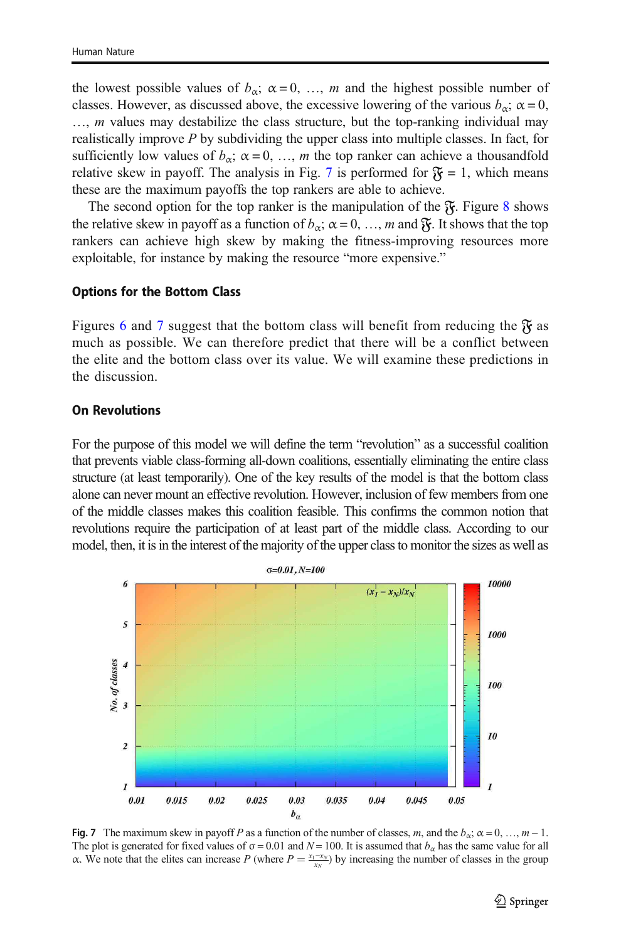<span id="page-12-0"></span>the lowest possible values of  $b_{\alpha}$ ;  $\alpha = 0, \ldots, m$  and the highest possible number of classes. However, as discussed above, the excessive lowering of the various  $b_{\alpha}$ ;  $\alpha = 0$ ,  $..., m$  values may destabilize the class structure, but the top-ranking individual may realistically improve P by subdividing the upper class into multiple classes. In fact, for sufficiently low values of  $b_{\alpha}$ ;  $\alpha = 0, ..., m$  the top ranker can achieve a thousandfold relative skew in payoff. The analysis in Fig. 7 is performed for  $\mathfrak{F} = 1$ , which means these are the maximum payoffs the top rankers are able to achieve.

The second option for the top ranker is the manipulation of the  $\mathfrak{F}$ . Figure [8](#page-13-0) shows the relative skew in payoff as a function of  $b_{\alpha}$ ;  $\alpha = 0, ..., m$  and  $\mathfrak{F}$ . It shows that the top rankers can achieve high skew by making the fitness-improving resources more exploitable, for instance by making the resource "more expensive."

#### Options for the Bottom Class

Figures [6](#page-11-0) and 7 suggest that the bottom class will benefit from reducing the  $\mathfrak{F}$  as much as possible. We can therefore predict that there will be a conflict between the elite and the bottom class over its value. We will examine these predictions in the discussion.

#### On Revolutions

For the purpose of this model we will define the term "revolution" as a successful coalition that prevents viable class-forming all-down coalitions, essentially eliminating the entire class structure (at least temporarily). One of the key results of the model is that the bottom class alone can never mount an effective revolution. However, inclusion of few members from one of the middle classes makes this coalition feasible. This confirms the common notion that revolutions require the participation of at least part of the middle class. According to our model, then, it is in the interest of the majority of the upper class to monitor the sizes as well as



Fig. 7 The maximum skew in payoff P as a function of the number of classes, m, and the  $b_{\alpha}$ ;  $\alpha = 0, ..., m - 1$ . The plot is generated for fixed values of  $\sigma = 0.01$  and  $N = 100$ . It is assumed that  $b_{\alpha}$  has the same value for all α. We note that the elites can increase P (where  $P = \frac{x_1 - x_N}{x_N}$ ) by increasing the number of classes in the group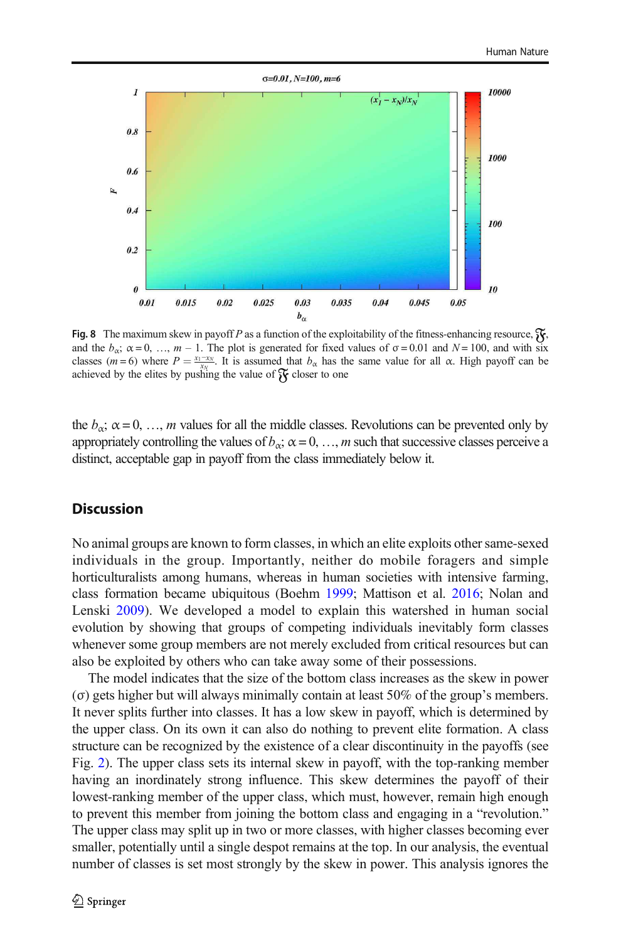<span id="page-13-0"></span>

Fig. 8 The maximum skew in payoff P as a function of the exploitability of the fitness-enhancing resource,  $\mathfrak{F}_k$ , and the  $b_{\alpha}$ ;  $\alpha = 0, \ldots, m - 1$ . The plot is generated for fixed values of  $\sigma = 0.01$  and  $N = 100$ , and with six classes (m = 6) where  $P = \frac{x_1 - x_N}{x_N}$ . It is assumed that  $b_\alpha$  has the same value for all  $\alpha$ . High payoff can be exasses  $(m - \sigma)$  where  $T = \frac{x_N}{x_N}$ . This assumed and  $\sigma_X$  has an achieved by the elites by pushing the value of  $\gamma$  closer to one

the  $b_{\alpha}$ ;  $\alpha = 0, \ldots, m$  values for all the middle classes. Revolutions can be prevented only by appropriately controlling the values of  $b_{\alpha}$ ;  $\alpha = 0, ..., m$  such that successive classes perceive a distinct, acceptable gap in payoff from the class immediately below it.

# **Discussion**

No animal groups are known to form classes, in which an elite exploits other same-sexed individuals in the group. Importantly, neither do mobile foragers and simple horticulturalists among humans, whereas in human societies with intensive farming, class formation became ubiquitous (Boehm [1999](#page-17-0); Mattison et al. [2016](#page-17-0); Nolan and Lenski [2009](#page-17-0)). We developed a model to explain this watershed in human social evolution by showing that groups of competing individuals inevitably form classes whenever some group members are not merely excluded from critical resources but can also be exploited by others who can take away some of their possessions.

The model indicates that the size of the bottom class increases as the skew in power (σ) gets higher but will always minimally contain at least 50% of the group's members. It never splits further into classes. It has a low skew in payoff, which is determined by the upper class. On its own it can also do nothing to prevent elite formation. A class structure can be recognized by the existence of a clear discontinuity in the payoffs (see Fig. [2](#page-7-0)). The upper class sets its internal skew in payoff, with the top-ranking member having an inordinately strong influence. This skew determines the payoff of their lowest-ranking member of the upper class, which must, however, remain high enough to prevent this member from joining the bottom class and engaging in a "revolution." The upper class may split up in two or more classes, with higher classes becoming ever smaller, potentially until a single despot remains at the top. In our analysis, the eventual number of classes is set most strongly by the skew in power. This analysis ignores the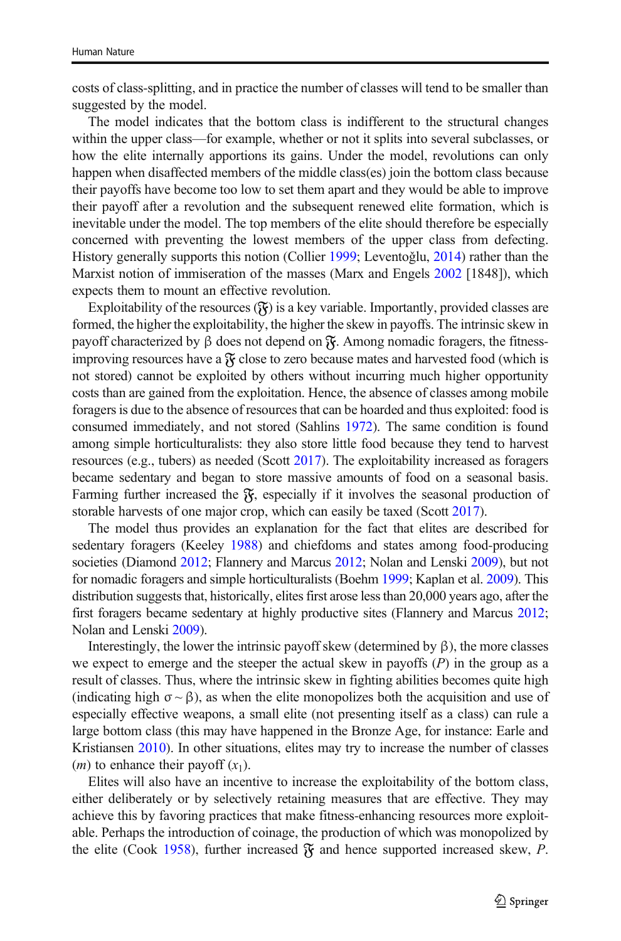costs of class-splitting, and in practice the number of classes will tend to be smaller than suggested by the model.

The model indicates that the bottom class is indifferent to the structural changes within the upper class—for example, whether or not it splits into several subclasses, or how the elite internally apportions its gains. Under the model, revolutions can only happen when disaffected members of the middle class(es) join the bottom class because their payoffs have become too low to set them apart and they would be able to improve their payoff after a revolution and the subsequent renewed elite formation, which is inevitable under the model. The top members of the elite should therefore be especially concerned with preventing the lowest members of the upper class from defecting. History generally supports this notion (Collier [1999](#page-17-0); Leventoǧlu, [2014](#page-17-0)) rather than the Marxist notion of immiseration of the masses (Marx and Engels [2002](#page-17-0) [1848]), which expects them to mount an effective revolution.

Exploitability of the resources  $(\mathfrak{F})$  is a key variable. Importantly, provided classes are formed, the higher the exploitability, the higher the skew in payoffs. The intrinsic skew in payoff characterized by β does not depend on  $\mathfrak{F}$ . Among nomadic foragers, the fitnessimproving resources have a  $\mathfrak F$  close to zero because mates and harvested food (which is not stored) cannot be exploited by others without incurring much higher opportunity costs than are gained from the exploitation. Hence, the absence of classes among mobile foragers is due to the absence of resources that can be hoarded and thus exploited: food is consumed immediately, and not stored (Sahlins [1972\)](#page-18-0). The same condition is found among simple horticulturalists: they also store little food because they tend to harvest resources (e.g., tubers) as needed (Scott [2017](#page-18-0)). The exploitability increased as foragers became sedentary and began to store massive amounts of food on a seasonal basis. Farming further increased the  $\mathfrak{F}_1$ , especially if it involves the seasonal production of storable harvests of one major crop, which can easily be taxed (Scott [2017\)](#page-18-0).

The model thus provides an explanation for the fact that elites are described for sedentary foragers (Keeley [1988\)](#page-17-0) and chiefdoms and states among food-producing societies (Diamond [2012](#page-17-0); Flannery and Marcus 2012; Nolan and Lenski [2009\)](#page-17-0), but not for nomadic foragers and simple horticulturalists (Boehm [1999](#page-17-0); Kaplan et al. [2009\)](#page-17-0). This distribution suggests that, historically, elites first arose less than 20,000 years ago, after the first foragers became sedentary at highly productive sites (Flannery and Marcus [2012;](#page-17-0) Nolan and Lenski [2009](#page-17-0)).

Interestingly, the lower the intrinsic payoff skew (determined by β), the more classes we expect to emerge and the steeper the actual skew in payoffs  $(P)$  in the group as a result of classes. Thus, where the intrinsic skew in fighting abilities becomes quite high (indicating high  $\sigma \sim \beta$ ), as when the elite monopolizes both the acquisition and use of especially effective weapons, a small elite (not presenting itself as a class) can rule a large bottom class (this may have happened in the Bronze Age, for instance: Earle and Kristiansen [2010](#page-17-0)). In other situations, elites may try to increase the number of classes  $(m)$  to enhance their payoff  $(x_1)$ .

Elites will also have an incentive to increase the exploitability of the bottom class, either deliberately or by selectively retaining measures that are effective. They may achieve this by favoring practices that make fitness-enhancing resources more exploitable. Perhaps the introduction of coinage, the production of which was monopolized by the elite (Cook [1958](#page-17-0)), further increased  $\mathfrak{F}$  and hence supported increased skew, P.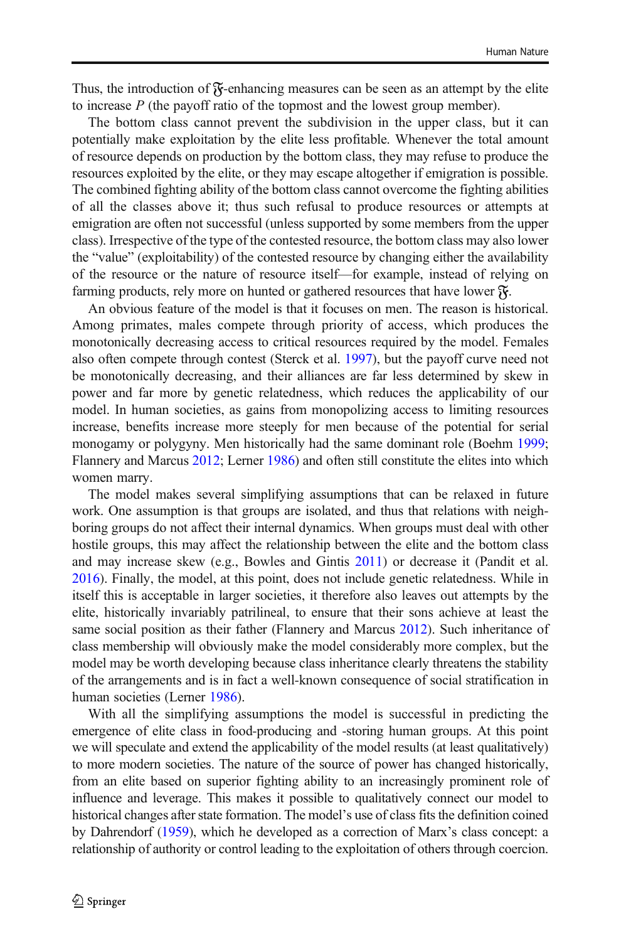Thus, the introduction of  $\mathfrak F$ -enhancing measures can be seen as an attempt by the elite to increase  $P$  (the payoff ratio of the topmost and the lowest group member).

The bottom class cannot prevent the subdivision in the upper class, but it can potentially make exploitation by the elite less profitable. Whenever the total amount of resource depends on production by the bottom class, they may refuse to produce the resources exploited by the elite, or they may escape altogether if emigration is possible. The combined fighting ability of the bottom class cannot overcome the fighting abilities of all the classes above it; thus such refusal to produce resources or attempts at emigration are often not successful (unless supported by some members from the upper class). Irrespective of the type of the contested resource, the bottom class may also lower the "value" (exploitability) of the contested resource by changing either the availability of the resource or the nature of resource itself—for example, instead of relying on farming products, rely more on hunted or gathered resources that have lower  $\mathfrak{F}$ .

An obvious feature of the model is that it focuses on men. The reason is historical. Among primates, males compete through priority of access, which produces the monotonically decreasing access to critical resources required by the model. Females also often compete through contest (Sterck et al. [1997\)](#page-18-0), but the payoff curve need not be monotonically decreasing, and their alliances are far less determined by skew in power and far more by genetic relatedness, which reduces the applicability of our model. In human societies, as gains from monopolizing access to limiting resources increase, benefits increase more steeply for men because of the potential for serial monogamy or polygyny. Men historically had the same dominant role (Boehm [1999;](#page-17-0) Flannery and Marcus [2012;](#page-17-0) Lerner [1986\)](#page-17-0) and often still constitute the elites into which women marry.

The model makes several simplifying assumptions that can be relaxed in future work. One assumption is that groups are isolated, and thus that relations with neighboring groups do not affect their internal dynamics. When groups must deal with other hostile groups, this may affect the relationship between the elite and the bottom class and may increase skew (e.g., Bowles and Gintis [2011\)](#page-17-0) or decrease it (Pandit et al. [2016\)](#page-18-0). Finally, the model, at this point, does not include genetic relatedness. While in itself this is acceptable in larger societies, it therefore also leaves out attempts by the elite, historically invariably patrilineal, to ensure that their sons achieve at least the same social position as their father (Flannery and Marcus [2012\)](#page-17-0). Such inheritance of class membership will obviously make the model considerably more complex, but the model may be worth developing because class inheritance clearly threatens the stability of the arrangements and is in fact a well-known consequence of social stratification in human societies (Lerner [1986\)](#page-17-0).

With all the simplifying assumptions the model is successful in predicting the emergence of elite class in food-producing and -storing human groups. At this point we will speculate and extend the applicability of the model results (at least qualitatively) to more modern societies. The nature of the source of power has changed historically, from an elite based on superior fighting ability to an increasingly prominent role of influence and leverage. This makes it possible to qualitatively connect our model to historical changes after state formation. The model's use of class fits the definition coined by Dahrendorf [\(1959\)](#page-17-0), which he developed as a correction of Marx's class concept: a relationship of authority or control leading to the exploitation of others through coercion.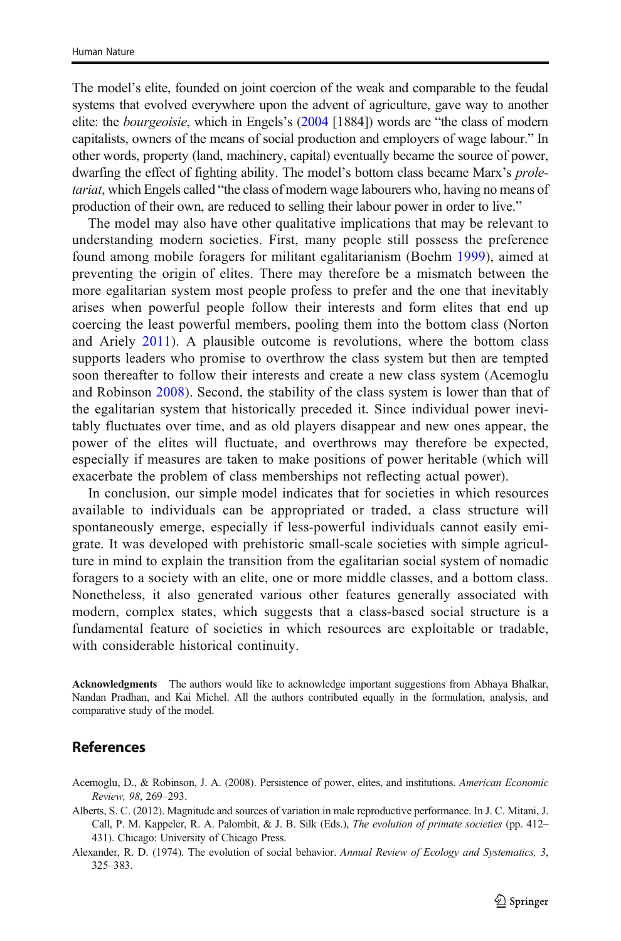<span id="page-16-0"></span>The model's elite, founded on joint coercion of the weak and comparable to the feudal systems that evolved everywhere upon the advent of agriculture, gave way to another elite: the bourgeoisie, which in Engels's [\(2004](#page-17-0) [1884]) words are "the class of modern capitalists, owners of the means of social production and employers of wage labour." In other words, property (land, machinery, capital) eventually became the source of power, dwarfing the effect of fighting ability. The model's bottom class became Marx's proletariat, which Engels called "the class of modern wage labourers who, having no means of production of their own, are reduced to selling their labour power in order to live."

The model may also have other qualitative implications that may be relevant to understanding modern societies. First, many people still possess the preference found among mobile foragers for militant egalitarianism (Boehm [1999\)](#page-17-0), aimed at preventing the origin of elites. There may therefore be a mismatch between the more egalitarian system most people profess to prefer and the one that inevitably arises when powerful people follow their interests and form elites that end up coercing the least powerful members, pooling them into the bottom class (Norton and Ariely [2011](#page-17-0)). A plausible outcome is revolutions, where the bottom class supports leaders who promise to overthrow the class system but then are tempted soon thereafter to follow their interests and create a new class system (Acemoglu and Robinson 2008). Second, the stability of the class system is lower than that of the egalitarian system that historically preceded it. Since individual power inevitably fluctuates over time, and as old players disappear and new ones appear, the power of the elites will fluctuate, and overthrows may therefore be expected, especially if measures are taken to make positions of power heritable (which will exacerbate the problem of class memberships not reflecting actual power).

In conclusion, our simple model indicates that for societies in which resources available to individuals can be appropriated or traded, a class structure will spontaneously emerge, especially if less-powerful individuals cannot easily emigrate. It was developed with prehistoric small-scale societies with simple agriculture in mind to explain the transition from the egalitarian social system of nomadic foragers to a society with an elite, one or more middle classes, and a bottom class. Nonetheless, it also generated various other features generally associated with modern, complex states, which suggests that a class-based social structure is a fundamental feature of societies in which resources are exploitable or tradable, with considerable historical continuity.

Acknowledgments The authors would like to acknowledge important suggestions from Abhaya Bhalkar, Nandan Pradhan, and Kai Michel. All the authors contributed equally in the formulation, analysis, and comparative study of the model.

### References

- Acemoglu, D., & Robinson, J. A. (2008). Persistence of power, elites, and institutions. American Economic Review, 98, 269–293.
- Alberts, S. C. (2012). Magnitude and sources of variation in male reproductive performance. In J. C. Mitani, J. Call, P. M. Kappeler, R. A. Palombit, & J. B. Silk (Eds.), The evolution of primate societies (pp. 412– 431). Chicago: University of Chicago Press.
- Alexander, R. D. (1974). The evolution of social behavior. Annual Review of Ecology and Systematics, 3, 325–383.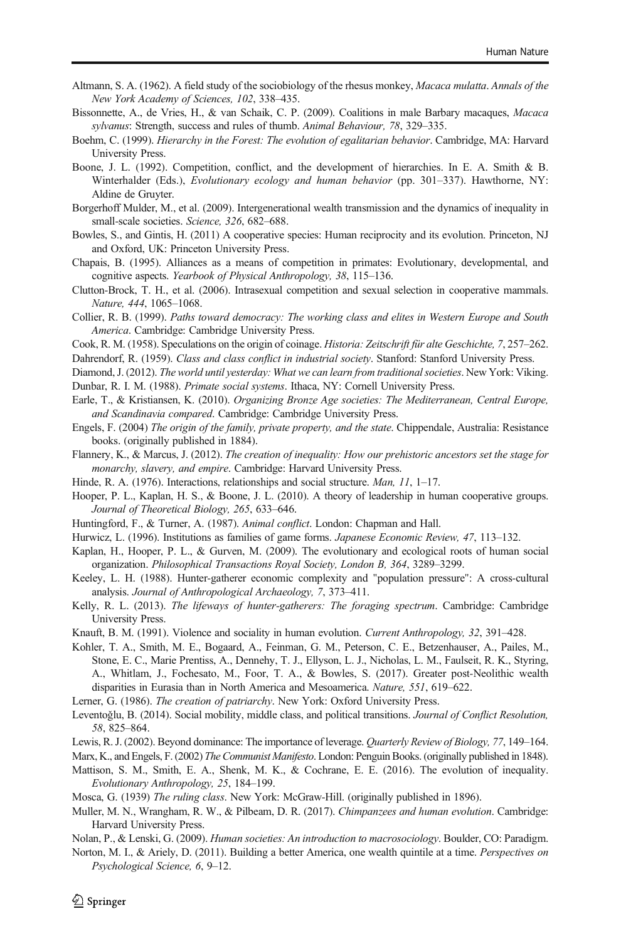- <span id="page-17-0"></span>Altmann, S. A. (1962). A field study of the sociobiology of the rhesus monkey, Macaca mulatta. Annals of the New York Academy of Sciences, 102, 338–435.
- Bissonnette, A., de Vries, H., & van Schaik, C. P. (2009). Coalitions in male Barbary macaques, Macaca sylvanus: Strength, success and rules of thumb. Animal Behaviour, 78, 329–335.
- Boehm, C. (1999). Hierarchy in the Forest: The evolution of egalitarian behavior. Cambridge, MA: Harvard University Press.
- Boone, J. L. (1992). Competition, conflict, and the development of hierarchies. In E. A. Smith & B. Winterhalder (Eds.), Evolutionary ecology and human behavior (pp. 301–337). Hawthorne, NY: Aldine de Gruyter.
- Borgerhoff Mulder, M., et al. (2009). Intergenerational wealth transmission and the dynamics of inequality in small-scale societies. Science, 326, 682–688.
- Bowles, S., and Gintis, H. (2011) A cooperative species: Human reciprocity and its evolution. Princeton, NJ and Oxford, UK: Princeton University Press.
- Chapais, B. (1995). Alliances as a means of competition in primates: Evolutionary, developmental, and cognitive aspects. Yearbook of Physical Anthropology, 38, 115–136.
- Clutton-Brock, T. H., et al. (2006). Intrasexual competition and sexual selection in cooperative mammals. Nature, 444, 1065–1068.
- Collier, R. B. (1999). Paths toward democracy: The working class and elites in Western Europe and South America. Cambridge: Cambridge University Press.
- Cook, R. M. (1958). Speculations on the origin of coinage. Historia: Zeitschrift für alte Geschichte, 7, 257–262.
- Dahrendorf, R. (1959). Class and class conflict in industrial society. Stanford: Stanford University Press.
- Diamond, J. (2012). The world until yesterday: What we can learn from traditional societies. New York: Viking. Dunbar, R. I. M. (1988). Primate social systems. Ithaca, NY: Cornell University Press.
- Earle, T., & Kristiansen, K. (2010). Organizing Bronze Age societies: The Mediterranean, Central Europe, and Scandinavia compared. Cambridge: Cambridge University Press.
- Engels, F. (2004) The origin of the family, private property, and the state. Chippendale, Australia: Resistance books. (originally published in 1884).
- Flannery, K., & Marcus, J. (2012). The creation of inequality: How our prehistoric ancestors set the stage for monarchy, slavery, and empire. Cambridge: Harvard University Press.
- Hinde, R. A. (1976). Interactions, relationships and social structure. *Man, 11*, 1–17.
- Hooper, P. L., Kaplan, H. S., & Boone, J. L. (2010). A theory of leadership in human cooperative groups. Journal of Theoretical Biology, 265, 633–646.
- Huntingford, F., & Turner, A. (1987). Animal conflict. London: Chapman and Hall.
- Hurwicz, L. (1996). Institutions as families of game forms. Japanese Economic Review, 47, 113–132.
- Kaplan, H., Hooper, P. L., & Gurven, M. (2009). The evolutionary and ecological roots of human social organization. Philosophical Transactions Royal Society, London B, 364, 3289–3299.
- Keeley, L. H. (1988). Hunter-gatherer economic complexity and "population pressure": A cross-cultural analysis. Journal of Anthropological Archaeology, 7, 373–411.
- Kelly, R. L. (2013). The lifeways of hunter-gatherers: The foraging spectrum. Cambridge: Cambridge University Press.
- Knauft, B. M. (1991). Violence and sociality in human evolution. Current Anthropology, 32, 391–428.
- Kohler, T. A., Smith, M. E., Bogaard, A., Feinman, G. M., Peterson, C. E., Betzenhauser, A., Pailes, M., Stone, E. C., Marie Prentiss, A., Dennehy, T. J., Ellyson, L. J., Nicholas, L. M., Faulseit, R. K., Styring, A., Whitlam, J., Fochesato, M., Foor, T. A., & Bowles, S. (2017). Greater post-Neolithic wealth disparities in Eurasia than in North America and Mesoamerica. Nature, 551, 619–622.
- Lerner, G. (1986). The creation of patriarchy. New York: Oxford University Press.
- Leventoğlu, B. (2014). Social mobility, middle class, and political transitions. Journal of Conflict Resolution, 58, 825–864.
- Lewis, R. J. (2002). Beyond dominance: The importance of leverage. Quarterly Review of Biology, 77, 149–164.
- Marx, K., and Engels, F. (2002) The Communist Manifesto. London: Penguin Books. (originally published in 1848).
- Mattison, S. M., Smith, E. A., Shenk, M. K., & Cochrane, E. E. (2016). The evolution of inequality. Evolutionary Anthropology, 25, 184–199.
- Mosca, G. (1939) The ruling class. New York: McGraw-Hill. (originally published in 1896).
- Muller, M. N., Wrangham, R. W., & Pilbeam, D. R. (2017). Chimpanzees and human evolution. Cambridge: Harvard University Press.
- Nolan, P., & Lenski, G. (2009). Human societies: An introduction to macrosociology. Boulder, CO: Paradigm.
- Norton, M. I., & Ariely, D. (2011). Building a better America, one wealth quintile at a time. Perspectives on Psychological Science, 6, 9–12.